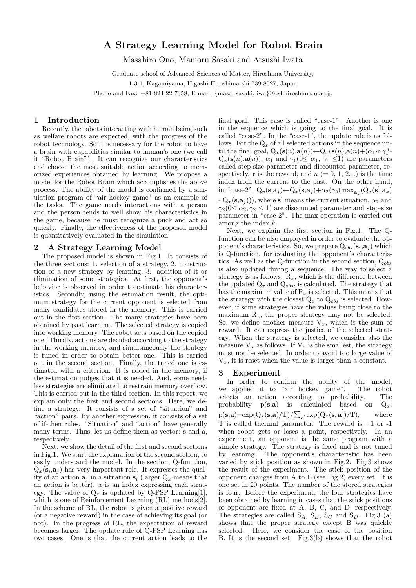# A Strategy Learning Model for Robot Brain

Masahiro Ono, Mamoru Sasaki and Atsushi Iwata

Graduate school of Advanced Sciences of Matter, Hiroshima University,

1-3-1, Kagamiyama, Higashi-Hiroshima-shi 739-8527, Japan

Phone and Fax: +81-824-22-7358, E-mail: {masa, sasaki, iwa}@dsl.hiroshima-u.ac.jp

## 1 Introduction

Recently, the robots interacting with human being such as welfare robots are expected, with the progress of the robot technology. So it is necessary for the robot to have a brain with capabilities similar to human's one (we call it "Robot Brain"). It can recognize our characteristics and choose the most suitable action according to memorized experiences obtained by learning. We propose a model for the Robot Brain which accomplishes the above process. The ability of the model is confirmed by a simulation program of "air hockey game" as an example of the tasks. The game needs interactions with a person and the person tends to well show his characteristics in the game, because he must recognize a puck and act so quickly. Finally, the effectiveness of the proposed model is quantitatively evaluated in the simulation.

## 2 A Strategy Learning Model

The proposed model is shown in Fig.1. It consists of the three sections: 1. selection of a strategy, 2. construction of a new strategy by learning, 3. addition of it or elimination of some strategies. At first, the opponent's behavior is observed in order to estimate his characteristics. Secondly, using the estimation result, the optimum strategy for the current opponent is selected from many candidates stored in the memory. This is carried out in the first section. The many strategies have been obtained by past learning. The selected strategy is copied into working memory. The robot acts based on the copied one. Thirdly, actions are decided according to the strategy in the working memory, and simultaneously the strategy is tuned in order to obtain better one. This is carried out in the second section. Finally, the tuned one is estimated with a criterion. It is added in the memory, if the estimation judges that it is needed. And, some needless strategies are eliminated to restrain memory overflow. This is carried out in the third section. In this report, we explain only the first and second sections. Here, we define a strategy. It consists of a set of "situation" and "action" pairs. By another expression, it consists of a set of if-then rules. "Situation" and "action" have generally many terms. Thus, let us define them as vector: s and a, respectively.

Next, we show the detail of the first and second sections in Fig.1. We start the explanation of the second section, to easily understand the model. In the section, Q-function,  $Q_x(s_i, a_j)$  has very important role. It expresses the quality of an action  $a_i$  in a situation  $s_i$  (larger  $Q_x$  means that an action is better).  $x$  is an index expressing each strategy. The value of  $Q_x$  is updated by Q-PSP Learning[1], which is one of Reinforcement Learning (RL) methods[2]. In the scheme of RL, the robot is given a positive reward (or a negative reward) in the case of achieving its goal (or not). In the progress of RL, the expectation of reward becomes larger. The update rule of Q-PSP Learning has two cases. One is that the current action leads to the

final goal. This case is called "case-1". Another is one in the sequence which is going to the final goal. It is called "case-2". In the "case-1", the update rule is as follows. For the  $Q_x$  of all selected actions in the sequence until the final goal,  $Q_x(\mathbf{s}(n),\mathbf{a}(n))$  ←  $Q_x(\mathbf{s}(n),\mathbf{a}(n) + (\alpha_1 \cdot \mathbf{r} \cdot \gamma_1^n - \alpha_2 \cdot \mathbf{r})$  $Q_x(\mathbf{s}(n),\mathbf{a}(n))$ ,  $\alpha_1$  and  $\gamma_1(0 \leq \alpha_1, \gamma_1 \leq 1)$  are parameters called step-size parameter and discounted parameter, respectively. r is the reward, and  $n (= 0, 1, 2...)$  is the time index from the current to the past. On the other hand, in "case-2",  $Q_x(\mathbf{s}, \mathbf{a}_j) \leftarrow Q_x(\mathbf{s}, \mathbf{a}_j) + \alpha_2(\gamma_2(\max_{\mathbf{a}_k} (Q_x(\mathbf{s}', \mathbf{a}_k)))$  $-Q_x(\mathbf{s}, \mathbf{a}_j))$ , where  $\mathbf{s}'$  means the current situation,  $\alpha_2$  and  $\gamma_2(0 \le \alpha_2, \gamma_2 \le 1)$  are discounted parameter and step-size parameter in "case-2". The max operation is carried out among the index k.

Next, we explain the first section in Fig.1. The Qfunction can be also employed in order to evaluate the opponent's characteristics. So, we prepare  $Q_{obs}(s_i, a_j)$  which is Q-function, for evaluating the opponent's characteristics. As well as the Q-function in the second section,  $Q_{obs}$ is also updated during a sequence. The way to select a strategy is as follows.  $R_x$ , which is the difference between the updated  $Q_x$  and  $Q_{obs}$ , is calculated. The strategy that has the maximum value of  $R_x$  is selected. This means that the strategy with the closest  $Q_x$  to  $Q_{obs}$  is selected. However, if some strategies have the values being close to the maximum  $R_x$ , the proper strategy may not be selected. So, we define another measure  $V_x$ , which is the sum of reward. It can express the justice of the selected strategy. When the strategy is selected, we consider also the measure  $V_x$  as follows. If  $V_x$  is the smallest, the strategy must not be selected. In order to avoid too large value of  $V_x$ , it is reset when the value is larger than a constant.

#### 3 Experiment

In order to confirm the ability of the model, we applied it to "air hockey game". The robot selects an action according to probability. The probability  $p(s,a)$  is calculated based on  $Q_x$ : p(s,a)=exp(Q<sub>x</sub>(s,a)/T)/ $\sum_{\mathbf{a}}$  exp(Q<sub>x</sub>(s,a)/T), where T is called thermal parameter. The reward is +1 or -1 when robot gets or loses a point, respectively. In an experiment, an opponent is the same program with a simple strategy. The strategy is fixed and is not tuned by learning. The opponent's characteristic has been varied by stick position as shown in Fig.2. Fig.3 shows the result of the experiment. The stick position of the opponent changes from A to E (see Fig.2) every set. It is one set in 20 points. The number of the stored strategies is four. Before the experiment, the four strategies have been obtained by learning in cases that the stick positions of opponent are fixed at A, B, C, and D, respectively. The strategies are called  $S_A$ ,  $S_B$ ,  $S_C$  and  $S_D$ . Fig.3 (a) shows that the proper strategy except B was quickly selected. Here, we consider the case of the position B. It is the second set. Fig.3(b) shows that the robot